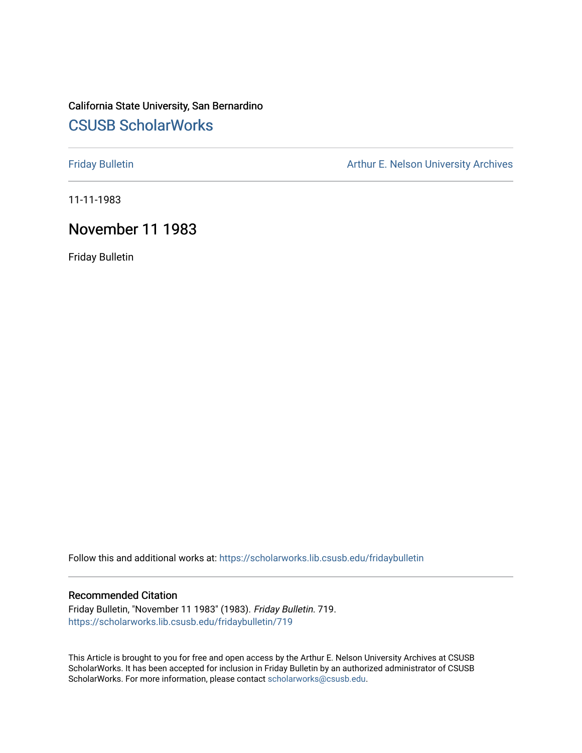## California State University, San Bernardino [CSUSB ScholarWorks](https://scholarworks.lib.csusb.edu/)

[Friday Bulletin](https://scholarworks.lib.csusb.edu/fridaybulletin) **Arthur E. Nelson University Archives** Arthur E. Nelson University Archives

11-11-1983

## November 11 1983

Friday Bulletin

Follow this and additional works at: [https://scholarworks.lib.csusb.edu/fridaybulletin](https://scholarworks.lib.csusb.edu/fridaybulletin?utm_source=scholarworks.lib.csusb.edu%2Ffridaybulletin%2F719&utm_medium=PDF&utm_campaign=PDFCoverPages)

## Recommended Citation

Friday Bulletin, "November 11 1983" (1983). Friday Bulletin. 719. [https://scholarworks.lib.csusb.edu/fridaybulletin/719](https://scholarworks.lib.csusb.edu/fridaybulletin/719?utm_source=scholarworks.lib.csusb.edu%2Ffridaybulletin%2F719&utm_medium=PDF&utm_campaign=PDFCoverPages)

This Article is brought to you for free and open access by the Arthur E. Nelson University Archives at CSUSB ScholarWorks. It has been accepted for inclusion in Friday Bulletin by an authorized administrator of CSUSB ScholarWorks. For more information, please contact [scholarworks@csusb.edu.](mailto:scholarworks@csusb.edu)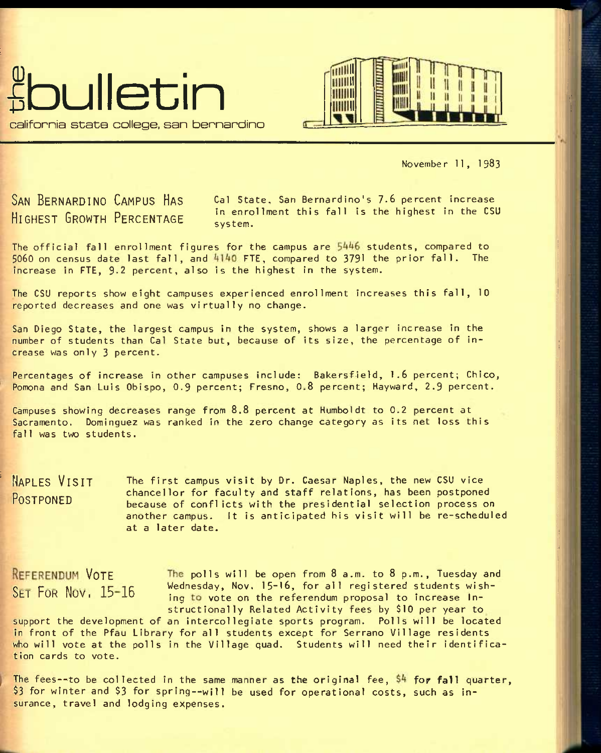



November 11, 1983

SAN BERNARDINO CAMPUS HAS Cal State, San Bernardino's 7.6 percent increase **HIGHEST GROWTH PERCENTAGE** in enrollment this fall is the highest in the CSU system.

The official fall enrollment figures for the campus are  $5446$  students, compared to  $5060$  on census date last fall, and  $4140$  FTE, compared to 3791 the prior fall. The increase in FTE, 9-2 percent, also is the highest in the system.

The CSU reports show eight campuses experienced enrollment Increases this fall, 10 reported decreases and one was virtually no change.

San Diego State, the largest campus in the system, shows a larger increase in the number of students than Gal State but, because of its size, the percentage of increase was only 3 percent.

Percentages of increase in other campuses include: Bakersfield, 1.6 percent; Chico, Pomona and San Luis Obispo, 0.9 percent; Fresno, 0.8 percent; Hayward, 2.9 percent.

Campuses showing decreases range from 8.8 percent at Humboldt to 0.2 percent at Sacramento. Dominguez was ranked in the zero change category as its net loss this fall was two students.

**NAPLES VISIT POSTPONED**  The first campus visit by Dr. Caesar Naples, the new CSU vice chancellor for faculty and staff relations, has been postponed because of conflicts with the presidential selection process on another campus. It is anticipated his visit will be re-scheduled at a later date.

REFERENDUM VOTE The polls will be open from 8 a.m. to 8 p.m., Tuesday and  $\frac{15-16}{12}$  Wednesday, Nov. 15-16, for all registered students wishing to vote on the referendum proposal to increase Instructionally Related Activity fees by \$10 per year to

support the development of an intercollegiate sports program. Polls will be located in front of the Pfau Library for all students except for Serrano Village residents who will vote at the polls in the Village quad. Students will need their identification cards to vote.

The fees--to be collected in the same manner as the original fee,  $$4$  for fall quarter, \$3 for winter and \$3 for spring—will be used for operational costs, such as insurance, travel and lodging expenses.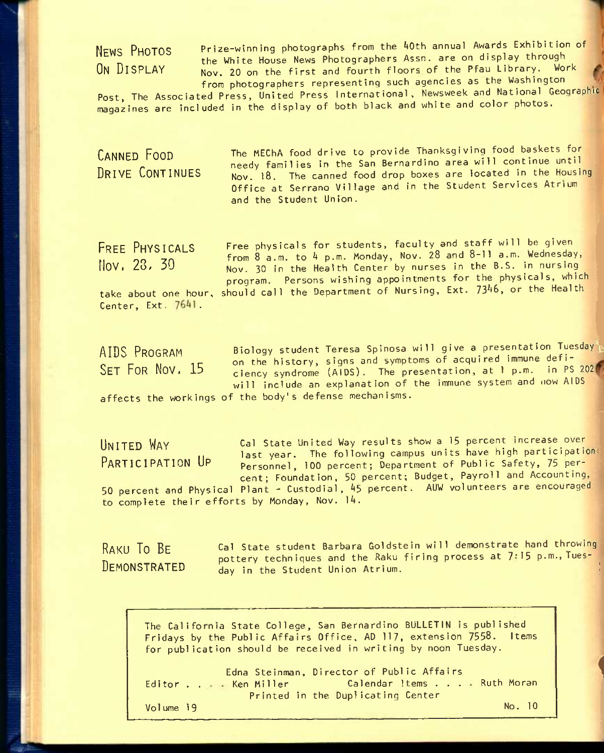**NEWS PHOTOS ON DISPLAY** 

Prize-winning photographs from the AOth annual Awards Exhibition of the White House News Photographers Assn. are on display through Nov. 20 on the first and fourth floors of the Pfau Library. Work from photographers representing such agencies as the Washington

Post, The Associated Press, United Press International, Newsweek and National Geographic magazines are included in the display of both black and white and color photos.

**CANNED FOOD DRIVE CONTINUES**  The MEChA food drive to provide Thanksgiving food baskets for needy families in the San Bernardino area will continue until Nov. **18.** The canned food drop boxes are located in the Housing Office at Serrano Village and in the Student Services Atrium and the Student Union.

**FREE PHYSICALS**  Nov, 28, 30

Free physicals for students, faculty and staff will be given from 8 a.m. to 4 p.m. Monday, Nov. 28 and 8-11 a.m. Wednesday, Nov. 30 in the Health Center by nurses in the B.S. in nursing program. Persons wishing appointments for the physicals, which take about one hour, should call the Department of Nursing, Ext. 7346, or the Health

Center,  $Ext. 7641$ .

Biology student Teresa Spinosa will give a presentation Tuesday on the history, signs and symptoms of acquired immune deficiency syndrome (AIDS). The presentation, at 1 p.m. in PS 202 will include an explanation of the immune system and now AIDS affects the workings of the body's defense mechanisms. **AIDS PROGRAM SET FOR NOV. 15** 

**UNITED WAY PARTICIPATION UP**  Cal State United Way results show a 15 percent increase over last year. The following campus units have high participation: Personnel, 100 percent; Department of Public Safety, 75 percent; Foundation, 50 percent; Budget, Payroll and Accounting, 50 percent and Physical Plant - Custodial, 4\$ percent. AUW volunteers are encouraged to complete their efforts by Monday, Nov. lA.

**RAKU TO BE DEMONSTRATED**  Cal state student Barbara Goldstein will demonstrate hand throwing pottery techniques and the Raku firing process at **7\*15** p.m., Tuesday in the Student Union Atrium.

**1** 

The California State College, San Bernardino BULLETIN is published Fridays by the Public Affairs Office, AD 117, extension 7558. Items for publication should be received in writing by noon Tuesday.

Editor . . . . . Ken Miller Volume 19 Edna Steinman, Director of Public Affairs Ken Miller Calendar items . . . Ruth Moran Printed in the Duplicating Center No. 10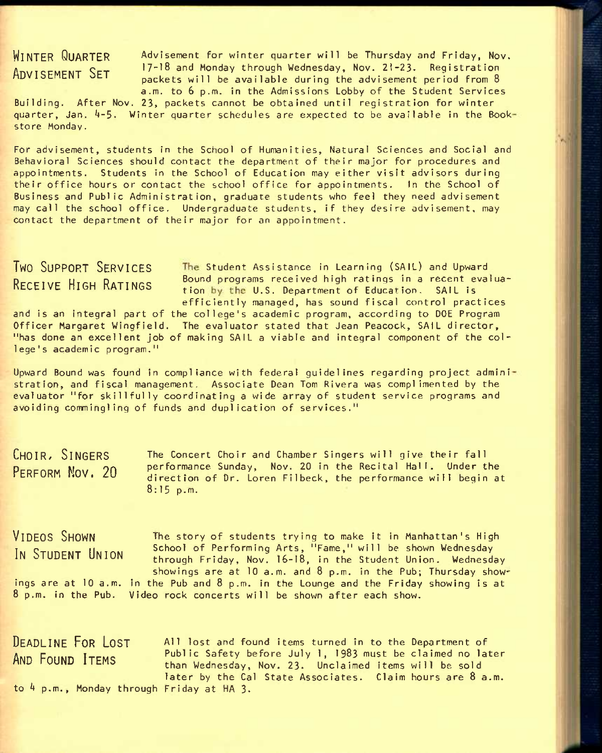**WINTER QUARTER ADVISEMENT SET** 

Advisement for winter quarter will be Thursday and Friday, Nov. 17-18 and Monday through Wednesday, Nov. 21-23- Registration packets will be available during the advisement period from 8 a.m. to 6 p.m. in the Admissions Lobby of the Student Services

Building. After Nov. 23, packets cannot be obtained until registration for winter quarter, Jan. 4–5. Winter quarter schedules are expected to be available in the Bookstore Monday.

For advisement, students in the School of Humanities, Natural Sciences and Social and Behavioral Sciences should contact the department of their major for procedures and appointments. Students in the School of Education may either visit advisors during their office hours or contact the school office for appointments. In the School of Business and Public Administration, graduate students who feel they need advisement may call the school office. Undergraduate students, if they desire advisement, may contact the department of their major for an appointment.

**TWO SUPPORT SERVICES** The Student Assistance in Learning (SAIL) and Upward  $R$ ECEIVE HIGH RATINGS Bound programs received high ratings in a recent evaluation by the U.S. Department of Education. SAIL is efficiently managed, has sound fiscal control practices

and is an integral part of the college's academic program, according to DOE Program Officer Margaret Wingfield. The evaluator stated that Jean Peacock, SAIL director, "has done an excellent job of making SAIL a viable and integral component of the college's academic program."

Upward Bound was found in compliance with federal guidelines regarding project admini stration, and fiscal management. Associate Dean Tom Rivera was complimented by the evaluator "for skillfully coordinating a wide array of student service programs and avoiding commingling of funds and duplication of services."

**CHOIR/ SINGERS PERFORM NOV. 20**  The Concert Choir and Chamber Singers will give their fall performance Sunday, Nov. 20 in the Recital Hall. Under the direction of Dr. Loren Filbeck, the performance will begin at 8:15 p.m.

**VIDEOS SHOWN** The story of students trying to make It in Manhattan's High **IN STUDENT UNION** School of Performing Arts, "Fame," will be shown Wednesday through Friday, Nov. 16-18, in the Student Union. Wednesday showings are at 10 a.m. and 8 p.m. in the Pub; Thursday showings are at  $10$  a.m. in the Pub and  $8$  p.m. in the Lounge and the Friday showing is at 8 p.m. In the Pub. Video rock concerts will be shown after each show.

**DEADLINE FOR LOST A**11 lost and found items turned in to the Department of AND FOUND ITEMS Public Safety before July 1, 1983 must be claimed no later than Wednesday, Nov. 23. Unclaimed items will be sold later by the Cal State Associates. Claim hours are 8 a.m. to  $4$  p.m., Monday through Friday at HA 3.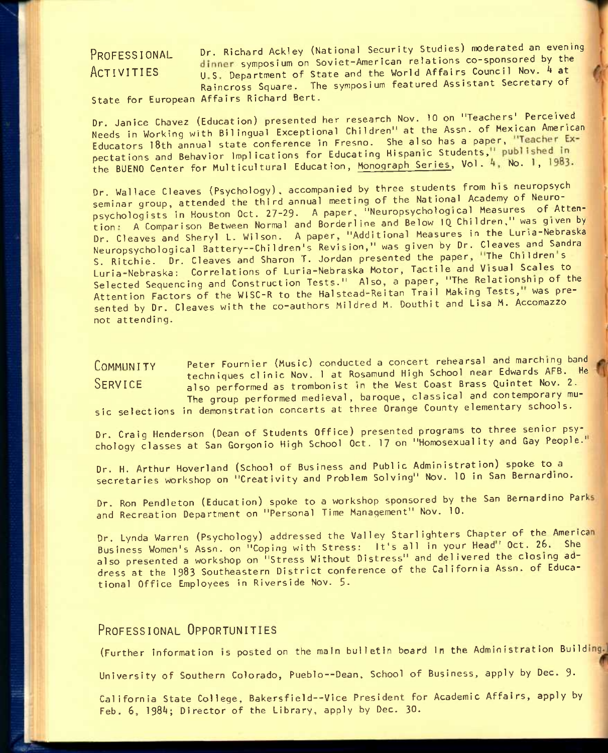PROFESSIONAL Dr. Richard Ackley (National Security Studies) moderated an evening dinner symposium on Soviet-American relations co-sponsored by the  $ACTIVITIES$  U.S. Department of State and the World Affairs Council Nov.  $4$  at Raincross Square. The symposium featured Assistant Secretary of

State for European Affairs Richard Bert.

Dr. Janice Chavez (Education) presented her research Nov. 10 on "Teachers'^ Perceived Needs in Working with Bilingual Exceptional Children" at the Assn. of Mexican American Educators 18th annual state conference in Fresno. She also has a paper, "Teacher Expectations and Behavior Implications for Educating Hispanic Students,<sup>11</sup> published in the BUENO Center for Multicultural Education, Monograph Series, Vol. 4, No. 1, 1983.

Dr. Wallace Cleaves (Psychology), accompanied by three students from his neuropsych seminar group, attended the third annual meeting of the National Academy of Neuropsychologists in Houston Oct. 27-29. A paper, "Neuropsychological Measures of Attention- A Comparison Between Normal and Borderline and Below IQ Children," was given by Dr. Cleaves and Sheryl L. Wilson. A paper, "Additional Measures in the Luria-Nebraska Neuropsychological Battery--Children's Revision," was given by Dr. Cleaves and Sandra S. Ritchie. Dr. Cleaves and Sharon T. Jordan presented the paper, "The Children's Luria-Nebraska; Correlations of Luria-Nebraska Motor, Tactile and Visual Scales to Selected Sequencing and Construction Tests." Also, a paper, "The Relationship of the Attention Factors of the WISC-R to the Halstead-Reitan Trail Making Tests, was presented by Dr. Cleaves with the co-authors Mildred M. Douthit and Lisa M. Accomazzo not attending.

COMMUNITY Peter Fournier (Music) conducted a concert rehearsal and marching band techniques clinic Nov. 1 at Rosamund High School near Edwards AFB. He SERVICE also performed as trombonist in the West Coast Brass Quintet Nov. 2. The group performed medieval, baroque, classical and contemporary mu-

sic selections in demonstration concerts at three Orange County elementary schools.

Dr. Craig Henderson (Dean of Students Office) presented programs to three senior psychology classes at San Gorgonio High School Oct. 17 on "Homosexuality and Gay People."

Dr. H. Arthur Hoverland (School of Business and Public Administration) spoke to a secretaries workshop on "Creativity and Problem Solving" Nov. 10 in San Bernardino.

Dr. Ron Pendleton (Education) spoke to a workshop sponsored by the San Bernardino Parks and Recreation Department on "Personal Time Management" Nov. 10.

Dr. Lynda Warren (Psychology) addressed the Valley Starlighters Chapter of the America Business Women's Assn. on "Coping with Stress: It's all in your Head' Oct. 26. She also presented a workshop on "Stress Without Distress" and delivered the closing address at the 1983 Southeastern District conference of the California Assn. of Educational Office Employees In Riverside Nov. 5.

## **PROFESSIONAL OPPORTUNITIES**

(Further information is posted on the main bulletin board In the Administration Build

University of Southern Colorado, Pueblo--Dean, School of Business, apply by Dec. 9.

California State College, Bakersfield--Vice President for Academic Affairs, apply by Feb. 6, 1984; Director of the Library, apply by Dec. 30.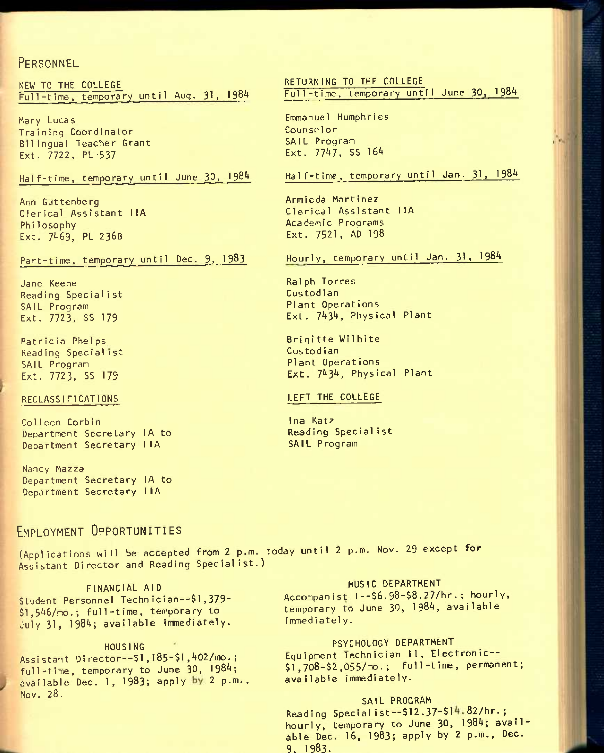## **PERSONNEL**

NEW TO THE COLLEGE Full-time, temporary until Aug. 31, 1984

Mary Lucas Train ing Coordinator Bilingual Teacher Grant Ext. 7722, PL-537

Half-time, temporary until June 30, 1984

Ann Guttenberg Clerical Assistant I lA Philosophy Ext. 7469, PL 236B

Part-time, temporary until Dec. 9, 1983

Jane Keene Reading Speciali st SAIL Program Ext. 7723, SS 179

Patricia Phelps Reading Specialist SAIL Program Ext. 7723, SS 179

### RECLASSIFICATIONS

Colleen Corbin Department Secretary lA to Department Secretary IlA

Nancy Mazza Department Secretary lA to Department Secretary IlA

## **EMPLOYMENT OPPORTUNITIES**

(Applications will be accepted from 2 p.m. today until 2 p.m. Nov. 29 except for Assistant Director and Reading Specialist.)

FINANCIAL AID Student Personnel Technician--\$l,379- \$1,546/mo.; full-time, temporary to July 31, 1984; available immediately.

#### HOUSING

Assi stant Di rector--\$l,185-\$!,^02/mo.; full-time, temporary to June 30, 1984; available Dec. 1, 1983; apply by 2 p.m., Nov. **28.** 

RETURNING TO THE COLLEGE Full-time, temporary until June 30, 1984

Emmanuel Humphries Counselor SAIL Program Ext.  $7747.$  SS 164

Half-time, temporary until Jan. 31, 198^

Armieda Martinez Clerical Assistant IlA Academic Programs Ext. 7521 , AD 198

Hourly, temporary until Jan. 31, 198^

Ralph Torres Custod ian Plant Operations Ext. 7434, Physical Plant

Brigitte Wilhite Custod ian Plant Operations Ext. 7434, Physical Plant

#### LEFT THE COLLEGE

Ina Katz Reading Specialist SAIL Program

## MUSIC DEPARTMENT

Accompanist I--\$6.98-\$8.27/hr. ; hourly, temporary to June 30, 1984, available immediately.

## PSYCHOLOGY DEPARTMENT

Equipment Technician II, Electronic--\$1,708-\$2,055/mo.; full-time, permanent; available immediately.

### SAIL PROGRAM

Reading Specialist--\$12.37-\$14.82/hr.; hourly, temporary to June 30, 1984; available Dec. 16, 1983; apply by 2 p.m., Dec. 9. 1983.